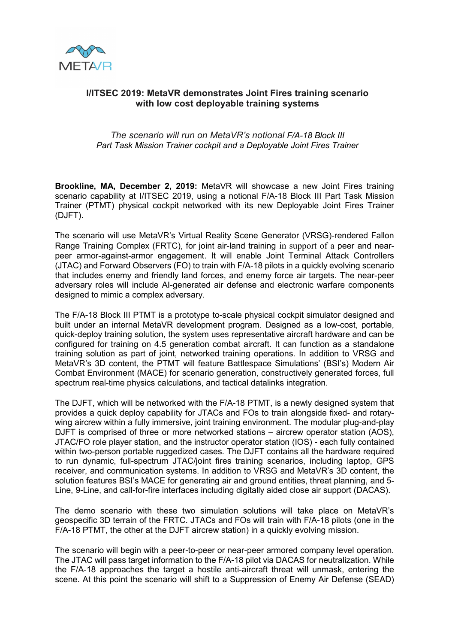

## **I/ITSEC 2019: MetaVR demonstrates Joint Fires training scenario with low cost deployable training systems**

## *The scenario will run on MetaVR's notional F/A-18 Block III Part Task Mission Trainer cockpit and a Deployable Joint Fires Trainer*

**Brookline, MA, December 2, 2019:** MetaVR will showcase a new Joint Fires training scenario capability at I/ITSEC 2019, using a notional F/A-18 Block III Part Task Mission Trainer (PTMT) physical cockpit networked with its new Deployable Joint Fires Trainer (DJFT).

The scenario will use MetaVR's Virtual Reality Scene Generator (VRSG)-rendered Fallon Range Training Complex (FRTC), for joint air-land training in support of a peer and nearpeer armor-against-armor engagement. It will enable Joint Terminal Attack Controllers (JTAC) and Forward Observers (FO) to train with F/A-18 pilots in a quickly evolving scenario that includes enemy and friendly land forces, and enemy force air targets. The near-peer adversary roles will include AI-generated air defense and electronic warfare components designed to mimic a complex adversary.

The F/A-18 Block III PTMT is a prototype to-scale physical cockpit simulator designed and built under an internal MetaVR development program. Designed as a low-cost, portable, quick-deploy training solution, the system uses representative aircraft hardware and can be configured for training on 4.5 generation combat aircraft. It can function as a standalone training solution as part of joint, networked training operations. In addition to VRSG and MetaVR's 3D content, the PTMT will feature Battlespace Simulations' (BSI's) Modern Air Combat Environment (MACE) for scenario generation, constructively generated forces, full spectrum real-time physics calculations, and tactical datalinks integration.

The DJFT, which will be networked with the F/A-18 PTMT, is a newly designed system that provides a quick deploy capability for JTACs and FOs to train alongside fixed- and rotarywing aircrew within a fully immersive, joint training environment. The modular plug-and-play DJFT is comprised of three or more networked stations – aircrew operator station (AOS), JTAC/FO role player station, and the instructor operator station (IOS) - each fully contained within two-person portable ruggedized cases. The DJFT contains all the hardware required to run dynamic, full-spectrum JTAC/joint fires training scenarios, including laptop, GPS receiver, and communication systems. In addition to VRSG and MetaVR's 3D content, the solution features BSI's MACE for generating air and ground entities, threat planning, and 5- Line, 9-Line, and call-for-fire interfaces including digitally aided close air support (DACAS).

The demo scenario with these two simulation solutions will take place on MetaVR's geospecific 3D terrain of the FRTC. JTACs and FOs will train with F/A-18 pilots (one in the F/A-18 PTMT, the other at the DJFT aircrew station) in a quickly evolving mission.

The scenario will begin with a peer-to-peer or near-peer armored company level operation. The JTAC will pass target information to the F/A-18 pilot via DACAS for neutralization. While the F/A-18 approaches the target a hostile anti-aircraft threat will unmask, entering the scene. At this point the scenario will shift to a Suppression of Enemy Air Defense (SEAD)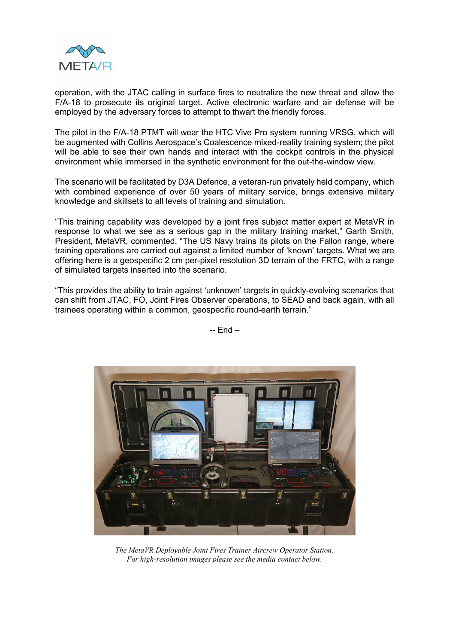

operation, with the JTAC calling in surface fires to neutralize the new threat and allow the F/A-18 to prosecute its original target. Active electronic warfare and air defense will be employed by the adversary forces to attempt to thwart the friendly forces.

The pilot in the F/A-18 PTMT will wear the HTC Vive Pro system running VRSG, which will be augmented with Collins Aerospace's Coalescence mixed-reality training system; the pilot will be able to see their own hands and interact with the cockpit controls in the physical environment while immersed in the synthetic environment for the out-the-window view.

The scenario will be facilitated by D3A Defence, a veteran-run privately held company, which with combined experience of over 50 years of military service, brings extensive military knowledge and skillsets to all levels of training and simulation.

"This training capability was developed by a joint fires subject matter expert at MetaVR in response to what we see as a serious gap in the military training market." Garth Smith, President, MetaVR, commented. "The US Navy trains its pilots on the Fallon range, where training operations are carried out against a limited number of 'known' targets. What we are offering here is a geospecific 2 cm per-pixel resolution 3D terrain of the FRTC, with a range of simulated targets inserted into the scenario.

"This provides the ability to train against 'unknown' targets in quickly-evolving scenarios that can shift from JTAC, FO, Joint Fires Observer operations, to SEAD and back again, with all trainees operating within a common, geospecific round-earth terrain."



-- End –

*The MetaVR Deployable Joint Fires Trainer Aircrew Operator Station. For high-resolution images please see the media contact below.*